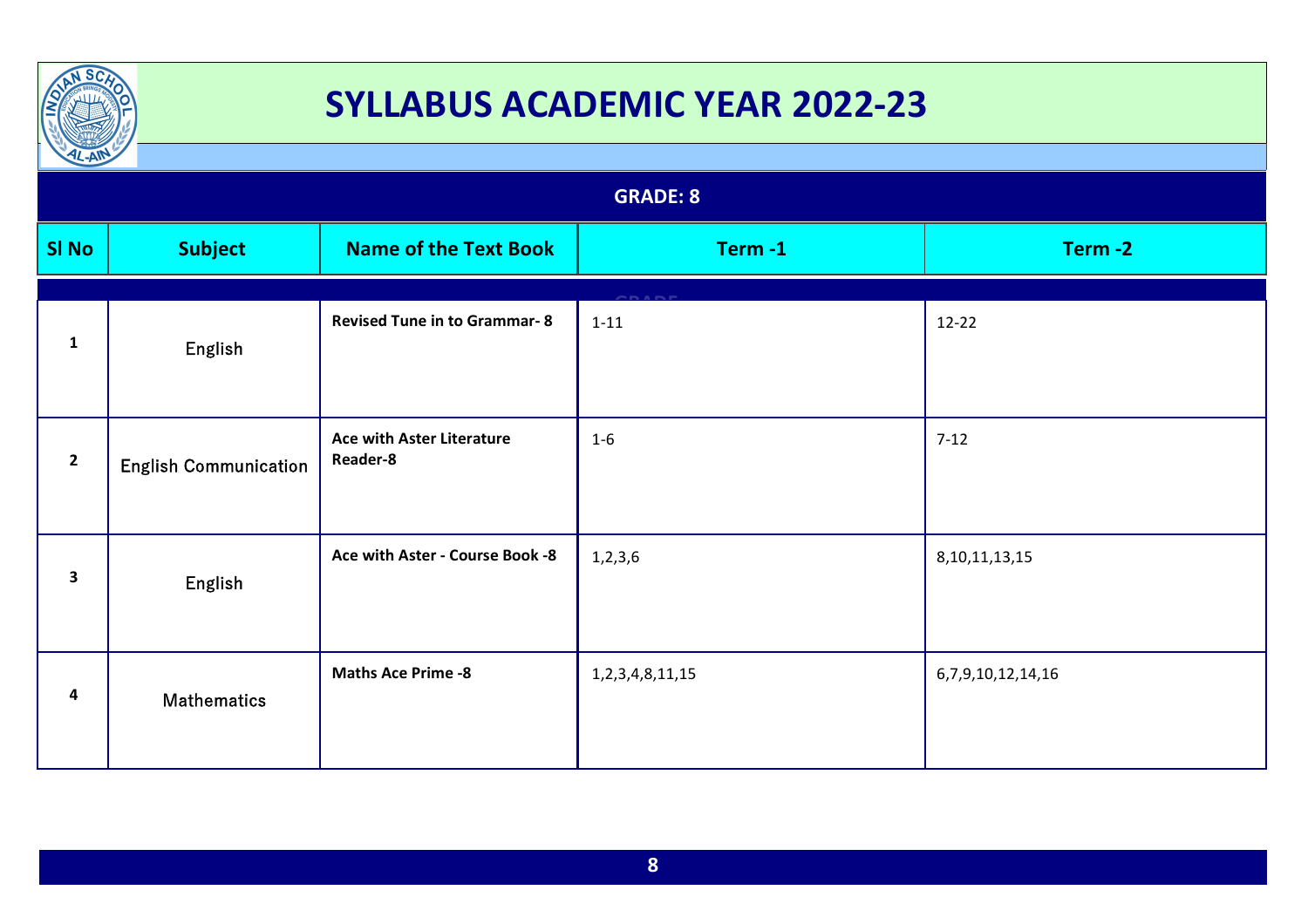

| IL-AM           |                              |                                              |                       |                   |
|-----------------|------------------------------|----------------------------------------------|-----------------------|-------------------|
| <b>GRADE: 8</b> |                              |                                              |                       |                   |
| <b>SI No</b>    | <b>Subject</b>               | <b>Name of the Text Book</b>                 | Term-1                | Term-2            |
| $\mathbf{1}$    | English                      | <b>Revised Tune in to Grammar-8</b>          | $1 - 11$              | $12-22$           |
| $\mathbf{2}$    | <b>English Communication</b> | <b>Ace with Aster Literature</b><br>Reader-8 | $1 - 6$               | $7-12$            |
| 3               | English                      | Ace with Aster - Course Book -8              | 1, 2, 3, 6            | 8, 10, 11, 13, 15 |
| 4               | <b>Mathematics</b>           | <b>Maths Ace Prime -8</b>                    | 1, 2, 3, 4, 8, 11, 15 | 6,7,9,10,12,14,16 |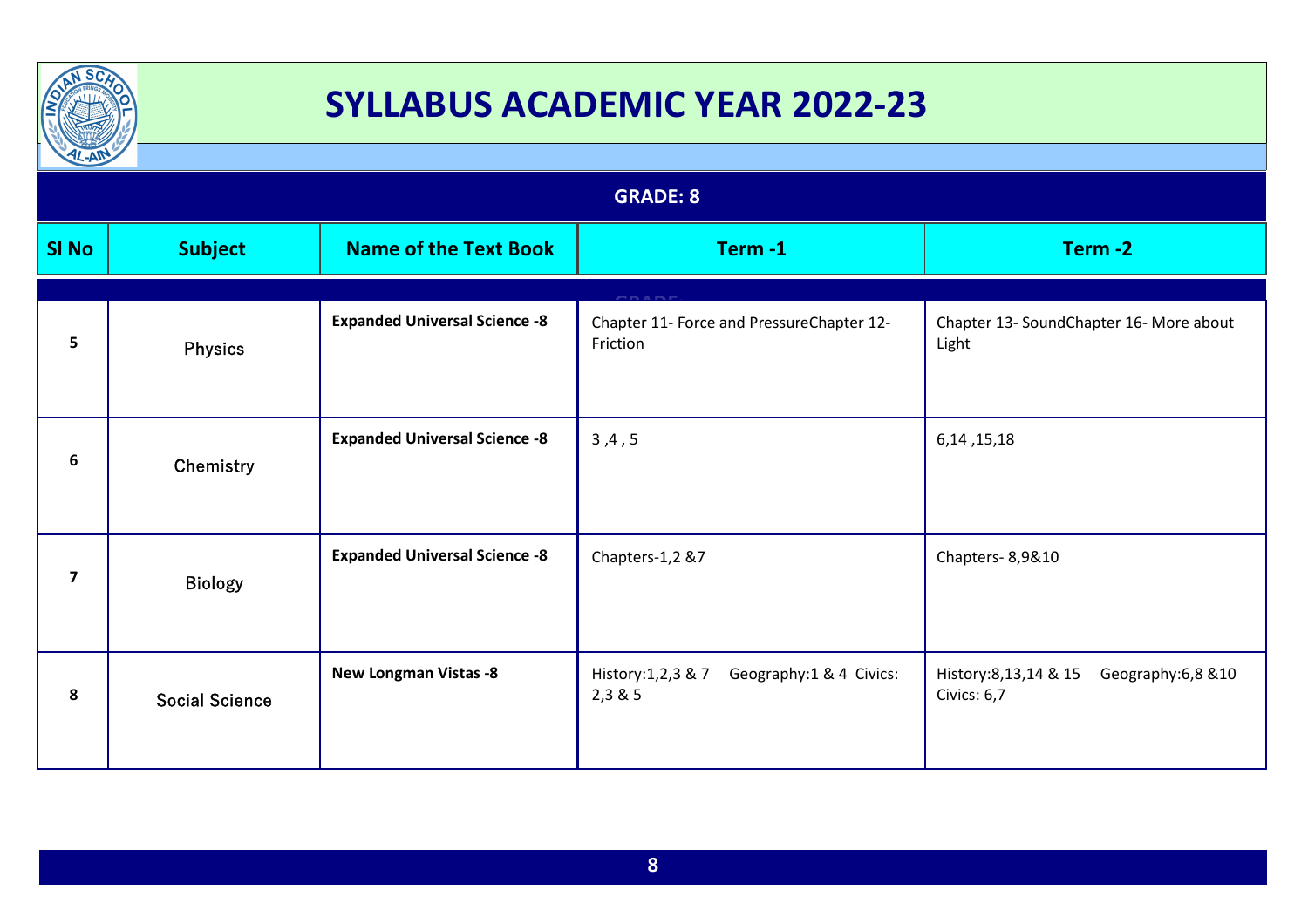

| $L-AW$         |                       |                                      | <b>GRADE: 8</b>                                            |                                                             |
|----------------|-----------------------|--------------------------------------|------------------------------------------------------------|-------------------------------------------------------------|
| <b>SI No</b>   | <b>Subject</b>        | <b>Name of the Text Book</b>         | Term-1                                                     | Term-2                                                      |
| 5              | <b>Physics</b>        | <b>Expanded Universal Science -8</b> | Chapter 11- Force and PressureChapter 12-<br>Friction      | Chapter 13- SoundChapter 16- More about<br>Light            |
| 6              | Chemistry             | <b>Expanded Universal Science -8</b> | 3, 4, 5                                                    | 6, 14, 15, 18                                               |
| $\overline{7}$ | <b>Biology</b>        | <b>Expanded Universal Science -8</b> | Chapters-1,2 &7                                            | Chapters-8,9&10                                             |
| 8              | <b>Social Science</b> | <b>New Longman Vistas -8</b>         | Geography:1 & 4 Civics:<br>History: 1, 2, 3 & 7<br>2,3 & 5 | History: 8, 13, 14 & 15<br>Geography:6,8 &10<br>Civics: 6,7 |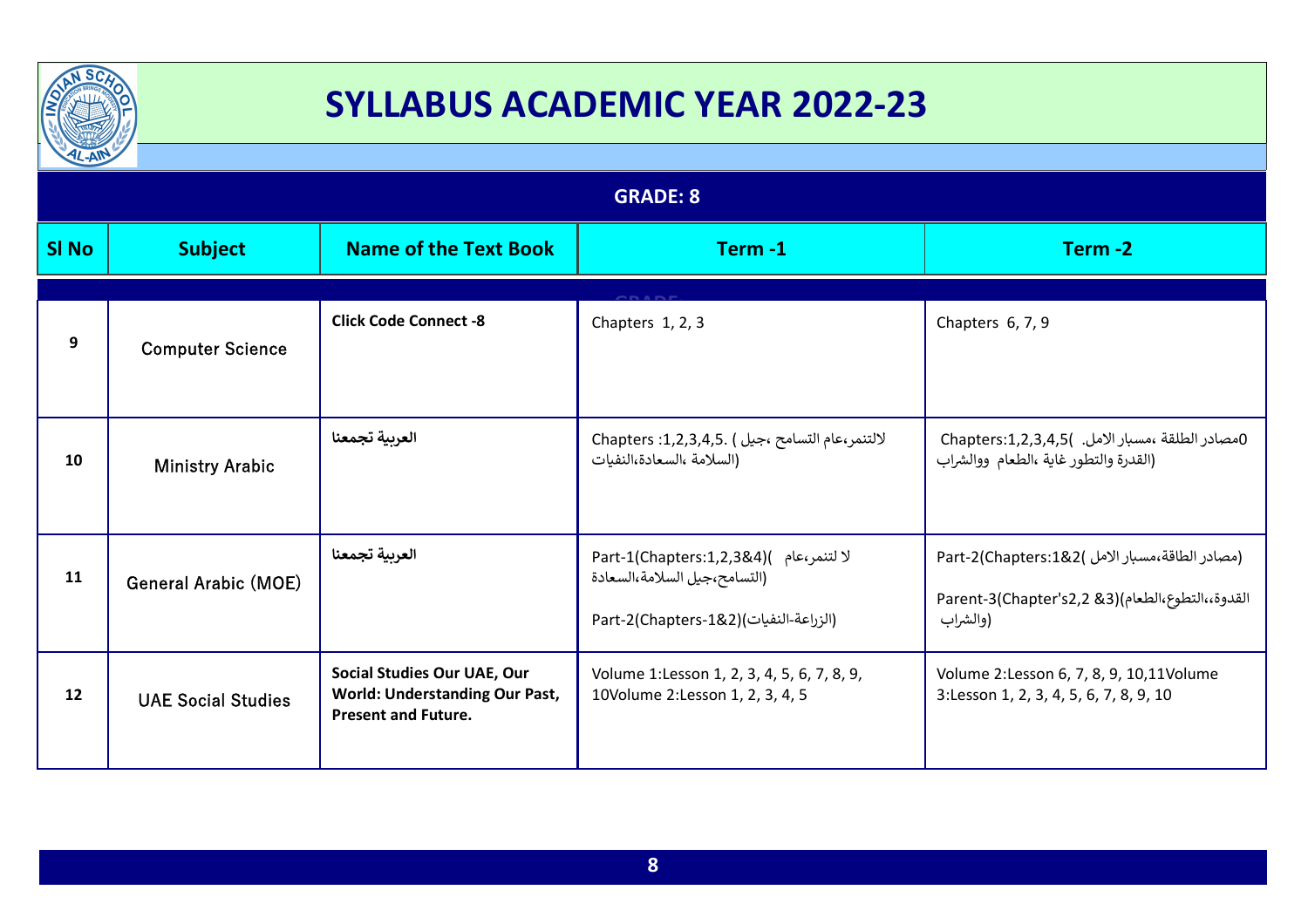

| $L - A$         |                             |                                                                                                    |                                                                                                                 |                                                                                                                 |
|-----------------|-----------------------------|----------------------------------------------------------------------------------------------------|-----------------------------------------------------------------------------------------------------------------|-----------------------------------------------------------------------------------------------------------------|
| <b>GRADE: 8</b> |                             |                                                                                                    |                                                                                                                 |                                                                                                                 |
| <b>SI No</b>    | <b>Subject</b>              | <b>Name of the Text Book</b>                                                                       | Term-1                                                                                                          | Term-2                                                                                                          |
| 9               | <b>Computer Science</b>     | <b>Click Code Connect -8</b>                                                                       | Chapters 1, 2, 3                                                                                                | Chapters 6, 7, 9                                                                                                |
| 10              | <b>Ministry Arabic</b>      | العربية تجمعنا                                                                                     | لالتنمر،عام التسامح ،جيل ) .1,2,3,4,5 .Chapters<br>(السلامة ،السعادة،النفيات                                    | 0مصادر الطلقة ،مسبار الامل. )Chapters:1,2,3,4,5<br>(القدرة والتطور غاية ،الطعام ووالشراب                        |
| 11              | <b>General Arabic (MOE)</b> | العربية تجمعنا                                                                                     | لا لتنمر،عام )(Part-1(Chapters:1,2,3&4<br>(التسامح،جيل السلامة،السعادة<br>[الزراعة-النفيات)(Part-2(Chapters-1&2 | Part-2(Chapters:1&2( امصادر الطاقة،مسبار الامل)<br>القدوة،،التطوع،الطعام)(Rarent-3(Chapter's2,2 &3)<br>(والشراب |
| 12              | <b>UAE Social Studies</b>   | Social Studies Our UAE, Our<br><b>World: Understanding Our Past,</b><br><b>Present and Future.</b> | Volume 1:Lesson 1, 2, 3, 4, 5, 6, 7, 8, 9,<br>10Volume 2: Lesson 1, 2, 3, 4, 5                                  | Volume 2:Lesson 6, 7, 8, 9, 10,11Volume<br>3:Lesson 1, 2, 3, 4, 5, 6, 7, 8, 9, 10                               |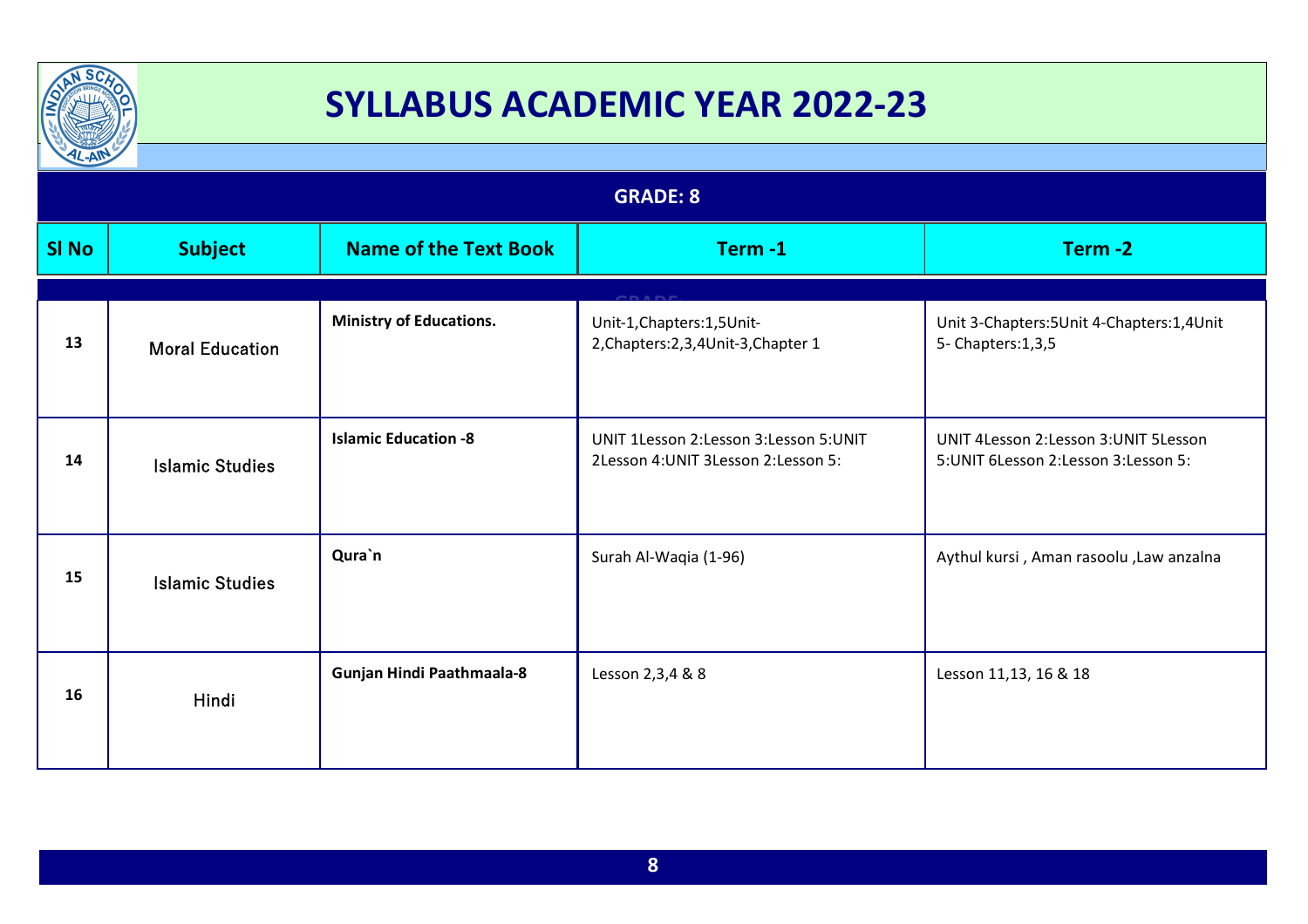

| $L - A$         |                        |                                |                                                                               |                                                                                 |
|-----------------|------------------------|--------------------------------|-------------------------------------------------------------------------------|---------------------------------------------------------------------------------|
| <b>GRADE: 8</b> |                        |                                |                                                                               |                                                                                 |
| <b>SI No</b>    | <b>Subject</b>         | <b>Name of the Text Book</b>   | Term-1                                                                        | Term-2                                                                          |
|                 |                        |                                |                                                                               |                                                                                 |
| 13              | <b>Moral Education</b> | <b>Ministry of Educations.</b> | Unit-1, Chapters: 1, 5 Unit-<br>2, Chapters: 2, 3, 4 Unit-3, Chapter 1        | Unit 3-Chapters: 5Unit 4-Chapters: 1,4Unit<br>5- Chapters: 1, 3, 5              |
| 14              | <b>Islamic Studies</b> | <b>Islamic Education -8</b>    | UNIT 1Lesson 2:Lesson 3:Lesson 5:UNIT<br>2Lesson 4: UNIT 3Lesson 2: Lesson 5: | UNIT 4Lesson 2:Lesson 3:UNIT 5Lesson<br>5: UNIT 6 Lesson 2: Lesson 3: Lesson 5: |
| 15              | <b>Islamic Studies</b> | Qura`n                         | Surah Al-Waqia (1-96)                                                         | Aythul kursi, Aman rasoolu, Law anzalna                                         |
| 16              | Hindi                  | Gunjan Hindi Paathmaala-8      | Lesson 2,3,4 & 8                                                              | Lesson 11,13, 16 & 18                                                           |